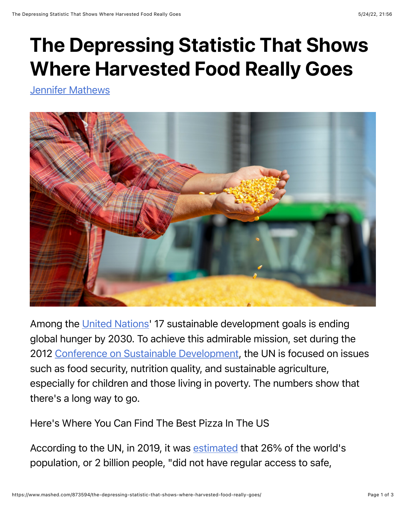## The Depressing Statistic That Shows Where Harvested Food Really Goes

[Jennifer Mathews](https://www.mashed.com/author/jennifermathews/)



Among the [United Nations](https://sdgs.un.org/)' 17 sustainable development goals is ending global hunger by 2030. To achieve this admirable mission, set during the 2012 [Conference on Sustainable Development](https://sdgs.un.org/topics/food-security-and-nutrition-and-sustainable-agriculture), the UN is focused on issues such as food security, nutrition quality, and sustainable agriculture, especially for children and those living in poverty. The numbers show that there's a long way to go.

Here's Where You Can Find The Best Pizza In The US

According to the UN, in 2019, it was [estimated](https://www.un.org/sustainabledevelopment/hunger/) that 26% of the world's population, or 2 billion people, "did not have regular access to safe,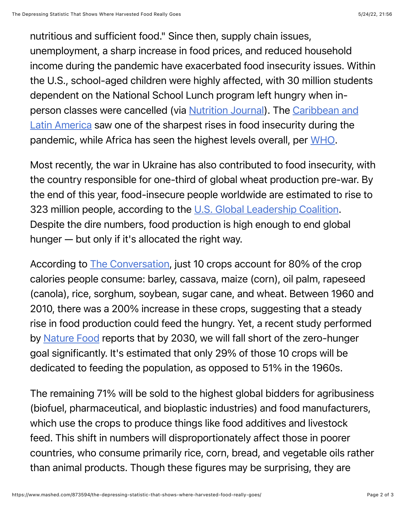nutritious and sufficient food." Since then, supply chain issues, unemployment, a sharp increase in food prices, and reduced household income during the pandemic have exacerbated food insecurity issues. Within the U.S., school-aged children were highly affected, with 30 million students dependent on the National School Lunch program left hungry when inperson classes were cancelled (via **N[utrition Journa](https://nutritionj.biomedcentral.com/articles/10.1186/s12937-021-00732-2)l**). The *Caribbean and* Latin America saw one of the sharpest rises in food insecurity during the pandemic, while Africa has seen the highest levels overall, per [WHO](https://www.who.int/news/item/12-07-2021-un-report-pandemic-year-marked-by-spike-in-world-hunger).

Most recently, the war in Ukraine has also contributed to food insecurity, with the country responsible for one-third of global wheat production pre-war. By the end of this year, food-insecure people worldwide are estimated to rise to 323 million people, according to the [U.S. Global Leadership Coalition.](https://www.usglc.org/coronavirus/global-hunger/) Despite the dire numbers, food production is high enough to end global hunger — but only if it's allocated the right way.

According to [The Conversation](https://theconversation.com/a-shrinking-fraction-of-the-worlds-major-crops-goes-to-feed-the-hungry-with-more-used-for-nonfood-purposes-181819), just 10 crops account for 80% of the crop calories people consume: barley, cassava, maize (corn), oil palm, rapeseed (canola), rice, sorghum, soybean, sugar cane, and wheat. Between 1960 and 2010, there was a 200% increase in these crops, suggesting that a steady rise in food production could feed the hungry. Yet, a recent study performed by [Nature Food](https://rdcu.be/cN52O) reports that by 2030, we will fall short of the zero-hunger goal significantly. It's estimated that only 29% of those 10 crops will be dedicated to feeding the population, as opposed to 51% in the 1960s.

The remaining 71% will be sold to the highest global bidders for agribusiness (biofuel, pharmaceutical, and bioplastic industries) and food manufacturers, which use the crops to produce things like food additives and livestock feed. This shift in numbers will disproportionately affect those in poorer countries, who consume primarily rice, corn, bread, and vegetable oils rather than animal products. Though these figures may be surprising, they are